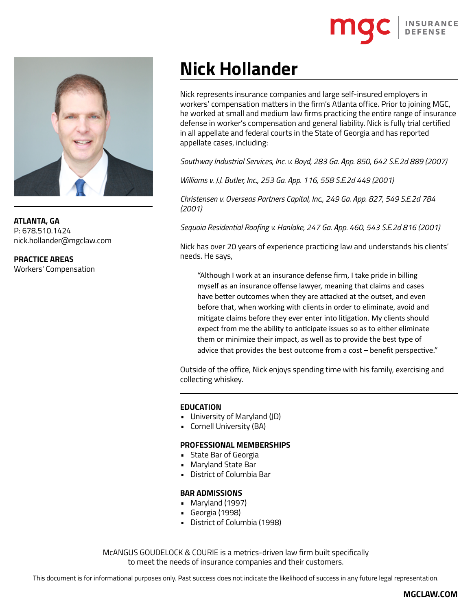

**ATLANTA, GA** P: 678.510.1424 nick.hollander@mgclaw.com

**PRACTICE AREAS** Workers' Compensation

# **Nick Hollander**

Nick represents insurance companies and large self-insured employers in workers' compensation matters in the firm's Atlanta office. Prior to joining MGC, he worked at small and medium law firms practicing the entire range of insurance defense in worker's compensation and general liability. Nick is fully trial certified in all appellate and federal courts in the State of Georgia and has reported appellate cases, including:

*Southway Industrial Services, Inc. v. Boyd, 283 Ga. App. 850, 642 S.E.2d 889 (2007)*

*Williams v. J.J. Butler, Inc., 253 Ga. App. 116, 558 S.E.2d 449 (2001)*

*Christensen v. Overseas Partners Capital, Inc., 249 Ga. App. 827, 549 S.E.2d 784 (2001)*

*Sequoia Residential Roofing v. Hanlake, 247 Ga. App. 460, 543 S.E.2d 816 (2001)*

Nick has over 20 years of experience practicing law and understands his clients' needs. He says,

"Although I work at an insurance defense firm, I take pride in billing myself as an insurance offense lawyer, meaning that claims and cases have better outcomes when they are attacked at the outset, and even before that, when working with clients in order to eliminate, avoid and mitigate claims before they ever enter into litigation. My clients should expect from me the ability to anticipate issues so as to either eliminate them or minimize their impact, as well as to provide the best type of advice that provides the best outcome from a cost – benefit perspective."

Outside of the office, Nick enjoys spending time with his family, exercising and collecting whiskey.

## **EDUCATION**

- University of Maryland (JD)
- Cornell University (BA)

## **PROFESSIONAL MEMBERSHIPS**

- State Bar of Georgia
- Maryland State Bar
- District of Columbia Bar

## **BAR ADMISSIONS**

- Maryland (1997)
- Georgia (1998)
- District of Columbia (1998)

McANGUS GOUDELOCK & COURIE is a metrics-driven law firm built specifically to meet the needs of insurance companies and their customers.

This document is for informational purposes only. Past success does not indicate the likelihood of success in any future legal representation.